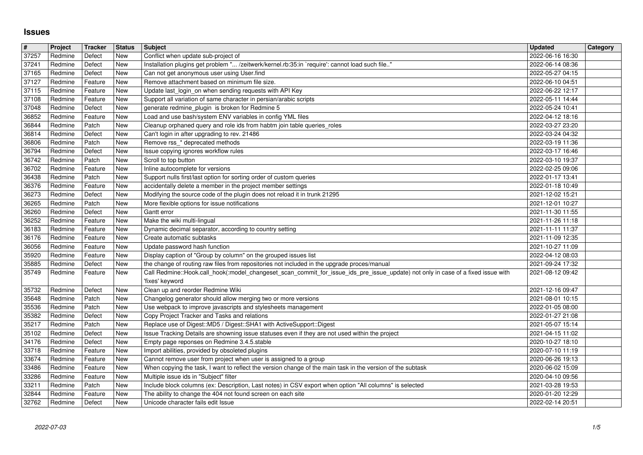## **Issues**

| #              | Project            | Tracker            | Status            | Subject                                                                                                                                                                    | <b>Updated</b>                       | Category |
|----------------|--------------------|--------------------|-------------------|----------------------------------------------------------------------------------------------------------------------------------------------------------------------------|--------------------------------------|----------|
| 37257          | Redmine<br>Redmine | Defect<br>Defect   | New<br><b>New</b> | Conflict when update sub-project of<br>Installation plugins get problem " /zeitwerk/kernel.rb:35:in `require': cannot load such file"                                      | 2022-06-16 16:30<br>2022-06-14 08:36 |          |
| 37241<br>37165 | Redmine            | Defect             | <b>New</b>        | Can not get anonymous user using User.find                                                                                                                                 | 2022-05-27 04:15                     |          |
| 37127          | Redmine            | Feature            | New               | Remove attachment based on minimum file size.                                                                                                                              | 2022-06-10 04:51                     |          |
| 37115          | Redmine            | Feature            | New               | Update last_login_on when sending requests with API Key                                                                                                                    | 2022-06-22 12:17                     |          |
| 37108          | Redmine            | Feature            | New               | Support all variation of same character in persian/arabic scripts                                                                                                          | 2022-05-11 14:44                     |          |
| 37048<br>36852 | Redmine<br>Redmine | Defect<br>Feature  | New<br>New        | generate redmine_plugin is broken for Redmine 5<br>Load and use bash/system ENV variables in config YML files                                                              | 2022-05-24 10:41<br>2022-04-12 18:16 |          |
| 36844          | Redmine            | Patch              | New               | Cleanup orphaned query and role ids from habtm join table queries_roles                                                                                                    | 2022-03-27 23:20                     |          |
| 36814          | Redmine            | Defect             | New               | Can't login in after upgrading to rev. 21486                                                                                                                               | 2022-03-24 04:32                     |          |
| 36806          | Redmine            | Patch              | <b>New</b>        | Remove rss_* deprecated methods                                                                                                                                            | 2022-03-19 11:36                     |          |
| 36794<br>36742 | Redmine<br>Redmine | Defect<br>Patch    | New<br>New        | Issue copying ignores workflow rules<br>Scroll to top button                                                                                                               | 2022-03-17 16:46<br>2022-03-10 19:37 |          |
| 36702          | Redmine            | Feature            | New               | Inline autocomplete for versions                                                                                                                                           | 2022-02-25 09:06                     |          |
| 36438          | Redmine            | Patch              | New               | Support nulls first/last option for sorting order of custom queries                                                                                                        | 2022-01-17 13:41                     |          |
| 36376          | Redmine            | Feature            | New               | accidentally delete a member in the project member settings                                                                                                                | 2022-01-18 10:49                     |          |
| 36273<br>36265 | Redmine<br>Redmine | Defect<br>Patch    | New<br>New        | Modifying the source code of the plugin does not reload it in trunk 21295<br>More flexible options for issue notifications                                                 | 2021-12-02 15:21<br>2021-12-01 10:27 |          |
| 36260          | Redmine            | Defect             | New               | Gantt error                                                                                                                                                                | 2021-11-30 11:55                     |          |
| 36252          | Redmine            | Feature            | <b>New</b>        | Make the wiki multi-lingual                                                                                                                                                | 2021-11-26 11:18                     |          |
| 36183          | Redmine            | Feature            | New               | Dynamic decimal separator, according to country setting                                                                                                                    | 2021-11-11 11:37                     |          |
| 36176<br>36056 | Redmine<br>Redmine | Feature<br>Feature | New<br>New        | Create automatic subtasks<br>Update password hash function                                                                                                                 | 2021-11-09 12:35<br>2021-10-27 11:09 |          |
| 35920          | Redmine            | Feature            | New               | Display caption of "Group by column" on the grouped issues list                                                                                                            | 2022-04-12 08:03                     |          |
| 35885          | Redmine            | Defect             | New               | the change of routing raw files from repositories not included in the upgrade proces/manual                                                                                | 2021-09-24 17:32                     |          |
| 35749          | Redmine            | Feature            | New               | Call Redmine::Hook.call_hook(:model_changeset_scan_commit_for_issue_ids_pre_issue_update) not only in case of a fixed issue with                                           | 2021-08-12 09:42                     |          |
| 35732          | Redmine            | Defect             | <b>New</b>        | 'fixes' keyword<br>Clean up and reorder Redmine Wiki                                                                                                                       | 2021-12-16 09:47                     |          |
| 35648          | Redmine            | Patch              | New               | Changelog generator should allow merging two or more versions                                                                                                              | 2021-08-01 10:15                     |          |
| 35536          | Redmine            | Patch              | <b>New</b>        | Use webpack to improve javascripts and stylesheets management                                                                                                              | 2022-01-05 08:00                     |          |
| 35382          | Redmine            | Defect             | New               | Copy Project Tracker and Tasks and relations                                                                                                                               | 2022-01-27 21:08                     |          |
| 35217<br>35102 | Redmine<br>Redmine | Patch<br>Defect    | New<br>New        | Replace use of Digest:: MD5 / Digest:: SHA1 with ActiveSupport:: Digest<br>Issue Tracking Details are showning issue statuses even if they are not used within the project | 2021-05-07 15:14<br>2021-04-15 11:02 |          |
| 34176          | Redmine            | Defect             | New               | Empty page reponses on Redmine 3.4.5.stable                                                                                                                                | 2020-10-27 18:10                     |          |
| 33718          | Redmine            | Feature            | New               | Import abilities, provided by obsoleted plugins                                                                                                                            | 2020-07-10 11:19                     |          |
| 33674          | Redmine            | Feature            | New               | Cannot remove user from project when user is assigned to a group                                                                                                           | 2020-06-26 19:13                     |          |
| 33486<br>33286 | Redmine<br>Redmine | Feature<br>Feature | <b>New</b><br>New | When copying the task, I want to reflect the version change of the main task in the version of the subtask<br>Multiple issue ids in "Subject" filter                       | 2020-06-02 15:09<br>2020-04-10 09:56 |          |
| 33211          | Redmine            | Patch              | New               | Include block columns (ex: Description, Last notes) in CSV export when option "All columns" is selected                                                                    | 2021-03-28 19:53                     |          |
| 32844<br>32762 | Redmine<br>Redmine | Feature<br>Defect  | New<br>New        | The ability to change the 404 not found screen on each site<br>Unicode character fails edit Issue                                                                          | 2020-01-20 12:29<br>2022-02-14 20:51 |          |
|                |                    |                    |                   |                                                                                                                                                                            |                                      |          |
|                |                    |                    |                   |                                                                                                                                                                            |                                      |          |
|                |                    |                    |                   |                                                                                                                                                                            |                                      |          |
|                |                    |                    |                   |                                                                                                                                                                            |                                      |          |
|                |                    |                    |                   |                                                                                                                                                                            |                                      |          |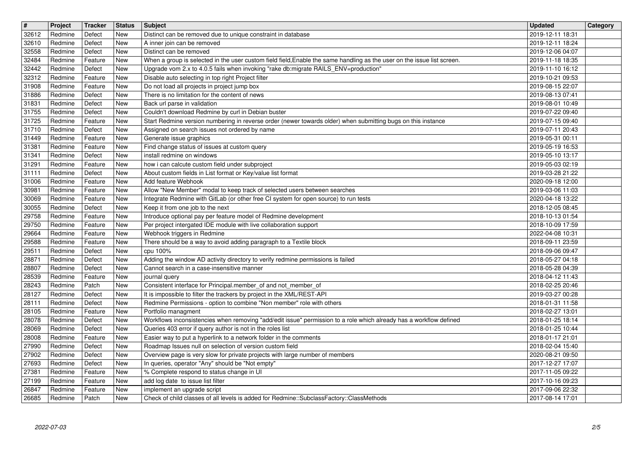| $\overline{\mathbf{H}}$ | Project            | Tracker            | <b>Status</b>     | Subject                                                                                                                                                                                                        | <b>Updated</b>                       | Category |
|-------------------------|--------------------|--------------------|-------------------|----------------------------------------------------------------------------------------------------------------------------------------------------------------------------------------------------------------|--------------------------------------|----------|
| 32612<br>32610          | Redmine<br>Redmine | Defect<br>Defect   | New<br>New        | Distinct can be removed due to unique constraint in database<br>A inner join can be removed                                                                                                                    | 2019-12-11 18:31<br>2019-12-11 18:24 |          |
| 32558                   | Redmine            | Defect             | New               | Distinct can be removed                                                                                                                                                                                        | 2019-12-06 04:07                     |          |
| 32484<br>32442          | Redmine<br>Redmine | Feature<br>Defect  | New<br>New        | When a group is selected in the user custom field field, Enable the same handling as the user on the issue list screen.<br>Upgrade vom 2.x to 4.0.5 fails when invoking "rake db:migrate RAILS_ENV=production" | 2019-11-18 18:35<br>2019-11-10 16:12 |          |
| 32312                   | Redmine            | Feature            | New               | Disable auto selecting in top right Project filter                                                                                                                                                             | 2019-10-21 09:53                     |          |
| 31908<br>31886          | Redmine<br>Redmine | Feature<br>Defect  | New<br>New        | Do not load all projects in project jump box<br>There is no limitation for the content of news                                                                                                                 | 2019-08-15 22:07<br>2019-08-13 07:41 |          |
| 31831<br>31755          | Redmine<br>Redmine | Defect<br>Defect   | <b>New</b><br>New | Back url parse in validation<br>Couldn't download Redmine by curl in Debian buster                                                                                                                             | 2019-08-01 10:49<br>2019-07-22 09:40 |          |
| 31725                   | Redmine            | Feature            | New               | Start Redmine version numbering in reverse order (newer towards older) when submitting bugs on this instance                                                                                                   | 2019-07-15 09:40                     |          |
| 31710<br>31449          | Redmine<br>Redmine | Defect<br>Feature  | New<br>New        | Assigned on search issues not ordered by name<br>Generate issue graphics                                                                                                                                       | 2019-07-11 20:43<br>2019-05-31 00:11 |          |
| 31381                   | Redmine            | Feature            | New               | Find change status of issues at custom query                                                                                                                                                                   | 2019-05-19 16:53                     |          |
| 31341<br>31291          | Redmine<br>Redmine | Defect<br>Feature  | New<br>New        | install redmine on windows<br>how i can calcute custom field under subproject                                                                                                                                  | 2019-05-10 13:17<br>2019-05-03 02:19 |          |
| 31111                   | Redmine            | Defect             | New               | About custom fields in List format or Key/value list format                                                                                                                                                    | 2019-03-28 21:22                     |          |
| 31006<br>30981          | Redmine<br>Redmine | Feature<br>Feature | New<br>New        | Add feature Webhook<br>Allow "New Member" modal to keep track of selected users between searches                                                                                                               | 2020-09-18 12:00<br>2019-03-06 11:03 |          |
| 30069                   | Redmine            | Feature            | New               | Integrate Redmine with GitLab (or other free CI system for open source) to run tests                                                                                                                           | 2020-04-18 13:22                     |          |
| 30055<br>29758          | Redmine<br>Redmine | Defect<br>Feature  | New<br>New        | Keep it from one job to the next<br>Introduce optional pay per feature model of Redmine development                                                                                                            | 2018-12-05 08:45<br>2018-10-13 01:54 |          |
| 29750                   | Redmine            | Feature            | New               | Per project intergated IDE module with live collaboration support                                                                                                                                              | 2018-10-09 17:59                     |          |
| 29664<br>29588          | Redmine<br>Redmine | Feature<br>Feature | New<br>New        | Webhook triggers in Redmine<br>There should be a way to avoid adding paragraph to a Textile block                                                                                                              | 2022-04-08 10:31<br>2018-09-11 23:59 |          |
| 29511                   | Redmine            | Defect             | New               | cpu 100%                                                                                                                                                                                                       | 2018-09-06 09:47                     |          |
| 28871<br>28807          | Redmine<br>Redmine | Defect<br>Defect   | New<br><b>New</b> | Adding the window AD activity directory to verify redmine permissions is failed<br>Cannot search in a case-insensitive manner                                                                                  | 2018-05-27 04:18<br>2018-05-28 04:39 |          |
| 28539                   | Redmine            | Feature            | New               | journal query                                                                                                                                                                                                  | 2018-04-12 11:43                     |          |
| 28243<br>28127          | Redmine<br>Redmine | Patch<br>Defect    | New<br>New        | Consistent interface for Principal.member_of and not_member_of<br>It is impossible to filter the trackers by project in the XML/REST-API                                                                       | 2018-02-25 20:46<br>2019-03-27 00:28 |          |
| 28111                   | Redmine            | Defect             | New               | Redmine Permissions - option to combine "Non member" role with others                                                                                                                                          | 2018-01-31 11:58                     |          |
| 28105<br>28078          | Redmine<br>Redmine | Feature<br>Defect  | New<br>New        | Portfolio managment<br>Workflows inconsistencies when removing "add/edit issue" permission to a role which already has a workflow defined                                                                      | 2018-02-27 13:01<br>2018-01-25 18:14 |          |
| 28069                   | Redmine            | Defect             | New               | Queries 403 error if query author is not in the roles list<br>Easier way to put a hyperlink to a network folder in the comments                                                                                | 2018-01-25 10:44                     |          |
| 28008<br>27990          | Redmine<br>Redmine | Feature<br>Defect  | New<br>New        | Roadmap Issues null on selection of version custom field                                                                                                                                                       | 2018-01-17 21:01<br>2018-02-04 15:40 |          |
| 27902<br>27693          | Redmine<br>Redmine | Defect<br>Defect   | New<br>New        | Overview page is very slow for private projects with large number of members<br>In queries, operator "Any" should be "Not empty"                                                                               | 2020-08-21 09:50<br>2017-12-27 17:07 |          |
| 27381                   | Redmine            | Feature            | <b>New</b>        | % Complete respond to status change in UI                                                                                                                                                                      | 2017-11-05 09:22                     |          |
| 27199<br>26847          | Redmine<br>Redmine | Feature<br>Feature | New<br>New        | add log date to issue list filter<br>implement an upgrade script                                                                                                                                               | 2017-10-16 09:23<br>2017-09-06 22:32 |          |
| 26685                   | Redmine            | Patch              | New               | Check of child classes of all levels is added for Redmine::SubclassFactory::ClassMethods                                                                                                                       | 2017-08-14 17:01                     |          |
|                         |                    |                    |                   |                                                                                                                                                                                                                |                                      |          |
|                         |                    |                    |                   |                                                                                                                                                                                                                |                                      |          |
|                         |                    |                    |                   |                                                                                                                                                                                                                |                                      |          |
|                         |                    |                    |                   |                                                                                                                                                                                                                |                                      |          |
|                         |                    |                    |                   |                                                                                                                                                                                                                |                                      |          |
|                         |                    |                    |                   |                                                                                                                                                                                                                |                                      |          |
|                         |                    |                    |                   |                                                                                                                                                                                                                |                                      |          |
|                         |                    |                    |                   |                                                                                                                                                                                                                |                                      |          |
|                         |                    |                    |                   |                                                                                                                                                                                                                |                                      |          |
|                         |                    |                    |                   |                                                                                                                                                                                                                |                                      |          |
|                         |                    |                    |                   |                                                                                                                                                                                                                |                                      |          |
|                         |                    |                    |                   |                                                                                                                                                                                                                |                                      |          |
|                         |                    |                    |                   |                                                                                                                                                                                                                |                                      |          |
|                         |                    |                    |                   |                                                                                                                                                                                                                |                                      |          |
|                         |                    |                    |                   |                                                                                                                                                                                                                |                                      |          |
|                         |                    |                    |                   |                                                                                                                                                                                                                |                                      |          |
|                         |                    |                    |                   |                                                                                                                                                                                                                |                                      |          |
|                         |                    |                    |                   |                                                                                                                                                                                                                |                                      |          |
|                         |                    |                    |                   |                                                                                                                                                                                                                |                                      |          |
|                         |                    |                    |                   |                                                                                                                                                                                                                |                                      |          |
|                         |                    |                    |                   |                                                                                                                                                                                                                |                                      |          |
|                         |                    |                    |                   |                                                                                                                                                                                                                |                                      |          |
|                         |                    |                    |                   |                                                                                                                                                                                                                |                                      |          |
|                         |                    |                    |                   |                                                                                                                                                                                                                |                                      |          |
|                         |                    |                    |                   |                                                                                                                                                                                                                |                                      |          |
|                         |                    |                    |                   |                                                                                                                                                                                                                |                                      |          |
|                         |                    |                    |                   |                                                                                                                                                                                                                |                                      |          |
|                         |                    |                    |                   |                                                                                                                                                                                                                |                                      |          |
|                         |                    |                    |                   |                                                                                                                                                                                                                |                                      |          |
|                         |                    |                    |                   |                                                                                                                                                                                                                |                                      |          |
|                         |                    |                    |                   |                                                                                                                                                                                                                |                                      |          |
|                         |                    |                    |                   |                                                                                                                                                                                                                |                                      |          |
|                         |                    |                    |                   |                                                                                                                                                                                                                |                                      |          |
|                         |                    |                    |                   |                                                                                                                                                                                                                |                                      |          |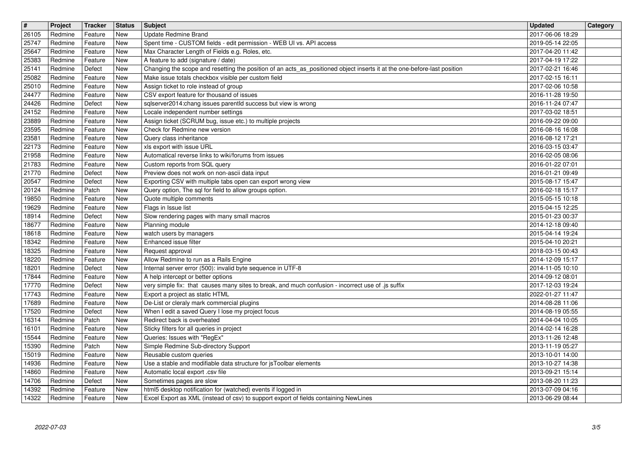| $\overline{\mathbf{t}}$<br>26105 | Project<br>Redmine | Tracker<br>Feature | <b>Status</b><br>New            | Subject<br>Update Redmine Brand                                                                                                                                                 | <b>Updated</b><br>2017-06-06 18:29   | Category |
|----------------------------------|--------------------|--------------------|---------------------------------|---------------------------------------------------------------------------------------------------------------------------------------------------------------------------------|--------------------------------------|----------|
| 25747<br>25647                   | Redmine<br>Redmine | Feature<br>Feature | New<br>New                      | Spent time - CUSTOM fields - edit permission - WEB UI vs. API access<br>Max Character Length of Fields e.g. Roles, etc.                                                         | 2019-05-14 22:05<br>2017-04-20 11:42 |          |
| 25383                            | Redmine            | Feature            | New                             | A feature to add (signature / date)                                                                                                                                             | 2017-04-19 17:22                     |          |
| 25141<br>25082                   | Redmine<br>Redmine | Defect<br>Feature  | New<br>New                      | Changing the scope and resetting the position of an acts_as_positioned object inserts it at the one-before-last position<br>Make issue totals checkbox visible per custom field | 2017-02-21 16:46<br>2017-02-15 16:11 |          |
| 25010<br>24477                   | Redmine<br>Redmine | Feature<br>Feature | New<br>New                      | Assign ticket to role instead of group<br>CSV export feature for thousand of issues                                                                                             | 2017-02-06 10:58<br>2016-11-28 19:50 |          |
| 24426<br>24152                   | Redmine<br>Redmine | Defect<br>Feature  | New<br>New                      | sqlserver2014:chang issues parentId success but view is wrong<br>Locale independent number settings                                                                             | 2016-11-24 07:47<br>2017-03-02 18:51 |          |
| 23889                            | Redmine            | Feature            | New                             | Assign ticket (SCRUM bug, issue etc.) to multiple projects                                                                                                                      | 2016-09-22 09:00                     |          |
| 23595<br>23581                   | Redmine<br>Redmine | Feature<br>Feature | New<br>New                      | Check for Redmine new version<br>Query class inheritance                                                                                                                        | 2016-08-16 16:08<br>2016-08-12 17:21 |          |
| 22173<br>21958                   | Redmine<br>Redmine | Feature<br>Feature | New<br>New                      | xls export with issue URL<br>Automatical reverse links to wiki/forums from issues                                                                                               | 2016-03-15 03:47<br>2016-02-05 08:06 |          |
| 21783<br>21770                   | Redmine<br>Redmine | Feature<br>Defect  | New<br>New                      | Custom reports from SQL query<br>Preview does not work on non-ascii data input                                                                                                  | 2016-01-22 07:01<br>2016-01-21 09:49 |          |
| 20547<br>20124                   | Redmine<br>Redmine | Defect             | New<br>New                      | Exporting CSV with multiple tabs open can export wrong view<br>Query option, The sql for field to allow groups option.                                                          | 2015-08-17 15:47                     |          |
| 19850                            | Redmine            | Patch<br>Feature   | New                             | Quote multiple comments                                                                                                                                                         | 2016-02-18 15:17<br>2015-05-15 10:18 |          |
| 19629<br>18914                   | Redmine<br>Redmine | Feature<br>Defect  | New<br>New                      | Flags in Issue list<br>Slow rendering pages with many small macros                                                                                                              | 2015-04-15 12:25<br>2015-01-23 00:37 |          |
| 18677<br>18618                   | Redmine<br>Redmine | Feature<br>Feature | New<br>New                      | Planning module<br>watch users by managers                                                                                                                                      | 2014-12-18 09:40<br>2015-04-14 19:24 |          |
| 18342<br>18325                   | Redmine<br>Redmine | Feature<br>Feature | New<br>New                      | Enhanced issue filter<br>Request approval                                                                                                                                       | 2015-04-10 20:21<br>2018-03-15 00:43 |          |
| 18220                            | Redmine            | Feature            | New<br>New                      | Allow Redmine to run as a Rails Engine                                                                                                                                          | 2014-12-09 15:17                     |          |
| 18201<br>17844                   | Redmine<br>Redmine | Defect<br>Feature  | New                             | Internal server error (500): invalid byte sequence in UTF-8<br>A help intercept or better options                                                                               | 2014-11-05 10:10<br>2014-09-12 08:01 |          |
| 17770<br>17743                   | Redmine<br>Redmine | Defect<br>Feature  | New<br>New                      | very simple fix: that causes many sites to break, and much confusion - incorrect use of .js suffix<br>Export a project as static HTML                                           | 2017-12-03 19:24<br>2022-01-27 11:47 |          |
| 17689<br>17520                   | Redmine<br>Redmine | Feature<br>Defect  | New<br>New                      | De-List or cleraly mark commercial plugins<br>When I edit a saved Query I lose my project focus                                                                                 | 2014-08-28 11:06<br>2014-08-19 05:55 |          |
| 16314<br>16101                   | Redmine<br>Redmine | Patch<br>Feature   | <b>New</b><br>New               | Redirect back is overheated<br>Sticky filters for all queries in project                                                                                                        | 2014-04-04 10:05<br>2014-02-14 16:28 |          |
| 15544                            | Redmine            | Feature            | New                             | Queries: Issues with "RegEx"                                                                                                                                                    | 2013-11-26 12:48                     |          |
| 15390<br>15019                   | Redmine<br>Redmine | Patch<br>Feature   | New<br>New                      | Simple Redmine Sub-directory Support<br>Reusable custom queries                                                                                                                 | 2013-11-19 05:27<br>2013-10-01 14:00 |          |
| 14936<br>14860                   | Redmine<br>Redmine | Feature<br>Feature | $\sqrt{\phantom{a}}$ New<br>New | Use a stable and modifiable data structure for jsToolbar elements<br>Automatic local export .csv file                                                                           | 2013-10-27 14:38<br>2013-09-21 15:14 |          |
| 14706<br>14392                   | Redmine<br>Redmine | Defect<br>Feature  | New<br>New                      | Sometimes pages are slow<br>html5 desktop notification for (watched) events if logged in                                                                                        | 2013-08-20 11:23<br>2013-07-09 04:16 |          |
| 14322                            | Redmine            | Feature            | New                             | Excel Export as XML (instead of csv) to support export of fields containing NewLines                                                                                            | 2013-06-29 08:44                     |          |
|                                  |                    |                    |                                 |                                                                                                                                                                                 |                                      |          |
|                                  |                    |                    |                                 |                                                                                                                                                                                 |                                      |          |
|                                  |                    |                    |                                 |                                                                                                                                                                                 |                                      |          |
|                                  |                    |                    |                                 |                                                                                                                                                                                 |                                      |          |
|                                  |                    |                    |                                 |                                                                                                                                                                                 |                                      |          |
|                                  |                    |                    |                                 |                                                                                                                                                                                 |                                      |          |
|                                  |                    |                    |                                 |                                                                                                                                                                                 |                                      |          |
|                                  |                    |                    |                                 |                                                                                                                                                                                 |                                      |          |
|                                  |                    |                    |                                 |                                                                                                                                                                                 |                                      |          |
|                                  |                    |                    |                                 |                                                                                                                                                                                 |                                      |          |
|                                  |                    |                    |                                 |                                                                                                                                                                                 |                                      |          |
|                                  |                    |                    |                                 |                                                                                                                                                                                 |                                      |          |
|                                  |                    |                    |                                 |                                                                                                                                                                                 |                                      |          |
|                                  |                    |                    |                                 |                                                                                                                                                                                 |                                      |          |
|                                  |                    |                    |                                 |                                                                                                                                                                                 |                                      |          |
|                                  |                    |                    |                                 |                                                                                                                                                                                 |                                      |          |
|                                  |                    |                    |                                 |                                                                                                                                                                                 |                                      |          |
|                                  |                    |                    |                                 |                                                                                                                                                                                 |                                      |          |
|                                  |                    |                    |                                 |                                                                                                                                                                                 |                                      |          |
|                                  |                    |                    |                                 |                                                                                                                                                                                 |                                      |          |
|                                  |                    |                    |                                 |                                                                                                                                                                                 |                                      |          |
|                                  |                    |                    |                                 |                                                                                                                                                                                 |                                      |          |
|                                  |                    |                    |                                 |                                                                                                                                                                                 |                                      |          |
|                                  |                    |                    |                                 |                                                                                                                                                                                 |                                      |          |
|                                  |                    |                    |                                 |                                                                                                                                                                                 |                                      |          |
|                                  |                    |                    |                                 |                                                                                                                                                                                 |                                      |          |
|                                  |                    |                    |                                 |                                                                                                                                                                                 |                                      |          |
|                                  |                    |                    |                                 |                                                                                                                                                                                 |                                      |          |
|                                  |                    |                    |                                 |                                                                                                                                                                                 |                                      |          |
|                                  |                    |                    |                                 |                                                                                                                                                                                 |                                      |          |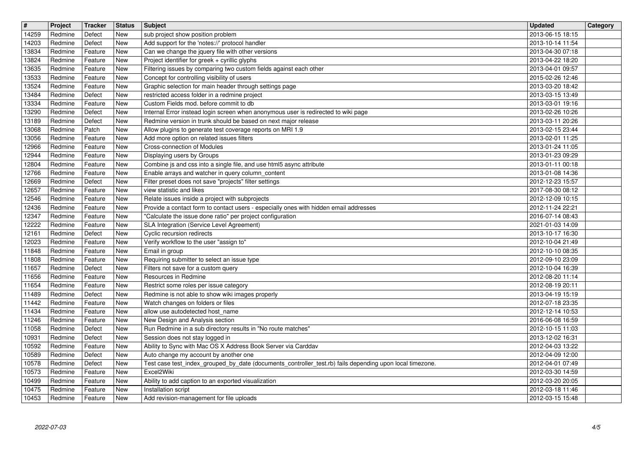| $\overline{\mathbf{H}}$ | Project            | <b>Tracker</b>     | <b>Status</b>            | <b>Subject</b>                                                                                                                                       | <b>Updated</b>                       | Category |
|-------------------------|--------------------|--------------------|--------------------------|------------------------------------------------------------------------------------------------------------------------------------------------------|--------------------------------------|----------|
| 14259<br>14203          | Redmine<br>Redmine | Defect<br>Defect   | New<br>New               | sub project show position problem<br>Add support for the 'notes://' protocol handler                                                                 | 2013-06-15 18:15<br>2013-10-14 11:54 |          |
| 13834                   | Redmine            | Feature            | <b>New</b>               | Can we change the jquery file with other versions                                                                                                    | 2013-04-30 07:18                     |          |
| 13824<br>13635          | Redmine<br>Redmine | Feature<br>Feature | New<br>New               | Project identifier for greek + cyrillic glyphs<br>Filtering issues by comparing two custom fields against each other                                 | 2013-04-22 18:20<br>2013-04-01 09:57 |          |
| 13533                   | Redmine            | Feature            | New                      | Concept for controlling visibility of users                                                                                                          | 2015-02-26 12:46                     |          |
| 13524<br>13484          | Redmine<br>Redmine | Feature<br>Defect  | <b>New</b><br><b>New</b> | Graphic selection for main header through settings page<br>restricted access folder in a redmine project                                             | 2013-03-20 18:42<br>2013-03-15 13:49 |          |
| 13334                   | Redmine            | Feature            | New                      | Custom Fields mod. before commit to db                                                                                                               | 2013-03-01 19:16                     |          |
| 13290<br>13189          | Redmine<br>Redmine | Defect<br>Defect   | New<br><b>New</b>        | Internal Error instead login screen when anonymous user is redirected to wiki page<br>Redmine version in trunk should be based on next major release | 2013-02-26 10:26<br>2013-03-11 20:26 |          |
| 13068                   | Redmine            | Patch              | <b>New</b>               | Allow plugins to generate test coverage reports on MRI 1.9<br>Add more option on related issues filters                                              | 2013-02-15 23:44                     |          |
| 13056<br>12966          | Redmine<br>Redmine | Feature<br>Feature | New<br>New               | Cross-connection of Modules                                                                                                                          | 2013-02-01 11:25<br>2013-01-24 11:05 |          |
| 12944<br>12804          | Redmine<br>Redmine | Feature<br>Feature | New<br><b>New</b>        | Displaying users by Groups<br>Combine js and css into a single file, and use html5 async attribute                                                   | 2013-01-23 09:29<br>2013-01-11 00:18 |          |
| 12766                   | Redmine            | Feature            | New                      | Enable arrays and watcher in query column_content                                                                                                    | 2013-01-08 14:36                     |          |
| 12669<br>12657          | Redmine<br>Redmine | Defect<br>Feature  | New<br>New               | Filter preset does not save "projects" filter settings<br>view statistic and likes                                                                   | 2012-12-23 15:57<br>2017-08-30 08:12 |          |
| 12546                   | Redmine            | Feature            | New                      | Relate issues inside a project with subprojects                                                                                                      | 2012-12-09 10:15                     |          |
| 12436<br>12347          | Redmine<br>Redmine | Feature<br>Feature | <b>New</b><br>New        | Provide a contact form to contact users - especially ones with hidden email addresses<br>"Calculate the issue done ratio" per project configuration  | 2012-11-24 22:21<br>2016-07-14 08:43 |          |
| 12222                   | Redmine            | Feature            | <b>New</b>               | SLA Integration (Service Level Agreement)                                                                                                            | 2021-01-03 14:09                     |          |
| 12161<br>12023          | Redmine<br>Redmine | Defect<br>Feature  | <b>New</b><br><b>New</b> | Cyclic recursion redirects<br>Verify workflow to the user "assign to"                                                                                | 2013-10-17 16:30<br>2012-10-04 21:49 |          |
| 11848                   | Redmine            | Feature            | New                      | Email in group                                                                                                                                       | 2012-10-10 08:35                     |          |
| 11808<br>11657          | Redmine<br>Redmine | Feature<br>Defect  | New<br>New               | Requiring submitter to select an issue type<br>Filters not save for a custom query                                                                   | 2012-09-10 23:09<br>2012-10-04 16:39 |          |
| 11656                   | Redmine            | Feature            | <b>New</b>               | Resources in Redmine                                                                                                                                 | 2012-08-20 11:14                     |          |
| 11654<br>11489          | Redmine<br>Redmine | Feature<br>Defect  | <b>New</b><br>New        | Restrict some roles per issue category<br>Redmine is not able to show wiki images properly                                                           | 2012-08-19 20:11<br>2013-04-19 15:19 |          |
| 11442                   | Redmine            | Feature            | <b>New</b>               | Watch changes on folders or files                                                                                                                    | 2012-07-18 23:35                     |          |
| 11434<br>11246          | Redmine<br>Redmine | Feature<br>Feature | <b>New</b><br>New        | allow use autodetected host_name<br>New Design and Analysis section                                                                                  | 2012-12-14 10:53<br>2016-06-08 16:59 |          |
| 11058                   | Redmine            | Defect             | New                      | Run Redmine in a sub directory results in "No route matches"                                                                                         | 2012-10-15 11:03                     |          |
| 10931<br>10592          | Redmine<br>Redmine | Defect<br>Feature  | New<br>New               | Session does not stay logged in<br>Ability to Sync with Mac OS X Address Book Server via Carddav                                                     | 2013-12-02 16:31<br>2012-04-03 13:22 |          |
| 10589                   | Redmine            | Defect             | New                      | Auto change my account by another one                                                                                                                | 2012-04-09 12:00                     |          |
| 10578<br>10573          | Redmine<br>Redmine | Defect<br>Feature  | New<br><b>New</b>        | Test case test_index_grouped_by_date (documents_controller_test.rb) fails depending upon local timezone.<br>Excel2Wiki                               | 2012-04-01 07:49<br>2012-03-30 14:59 |          |
| 10499                   | Redmine            | Feature            | New                      | Ability to add caption to an exported visualization                                                                                                  | 2012-03-20 20:05                     |          |
| 10475<br>10453          | Redmine<br>Redmine | Feature<br>Feature | New<br><b>New</b>        | Installation script<br>Add revision-management for file uploads                                                                                      | 2012-03-18 11:46<br>2012-03-15 15:48 |          |
|                         |                    |                    |                          |                                                                                                                                                      |                                      |          |
|                         |                    |                    |                          |                                                                                                                                                      |                                      |          |
|                         |                    |                    |                          |                                                                                                                                                      |                                      |          |
|                         |                    |                    |                          |                                                                                                                                                      |                                      |          |
|                         |                    |                    |                          |                                                                                                                                                      |                                      |          |
|                         |                    |                    |                          |                                                                                                                                                      |                                      |          |
|                         |                    |                    |                          |                                                                                                                                                      |                                      |          |
|                         |                    |                    |                          |                                                                                                                                                      |                                      |          |
|                         |                    |                    |                          |                                                                                                                                                      |                                      |          |
|                         |                    |                    |                          |                                                                                                                                                      |                                      |          |
|                         |                    |                    |                          |                                                                                                                                                      |                                      |          |
|                         |                    |                    |                          |                                                                                                                                                      |                                      |          |
|                         |                    |                    |                          |                                                                                                                                                      |                                      |          |
|                         |                    |                    |                          |                                                                                                                                                      |                                      |          |
|                         |                    |                    |                          |                                                                                                                                                      |                                      |          |
|                         |                    |                    |                          |                                                                                                                                                      |                                      |          |